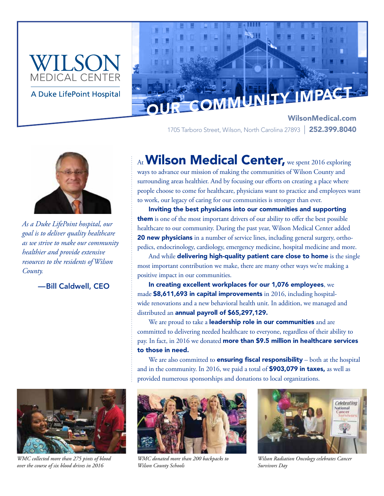



WilsonMedical.com 1705 Tarboro Street, Wilson, North Carolina 27893 | 252.399.8040



*As a Duke LifePoint hospital, our goal is to deliver quality healthcare as we strive to make our community healthier and provide extensive resources to the residents of Wilson County.*

—Bill Caldwell, CEO



*WMC collected more than 275 pints of blood over the course of six blood drives in 2016*

# At Wilson Medical Center, we spent 2016 exploring

ways to advance our mission of making the communities of Wilson County and surrounding areas healthier. And by focusing our efforts on creating a place where people choose to come for healthcare, physicians want to practice and employees want to work, our legacy of caring for our communities is stronger than ever.

Inviting the best physicians into our communities and supporting them is one of the most important drivers of our ability to offer the best possible healthcare to our community. During the past year, Wilson Medical Center added 20 new physicians in a number of service lines, including general surgery, orthopedics, endocrinology, cardiology, emergency medicine, hospital medicine and more.

And while delivering high-quality patient care close to home is the single most important contribution we make, there are many other ways we're making a positive impact in our communities.

In creating excellent workplaces for our 1,076 employees, we made \$8,611,693 in capital improvements in 2016, including hospitalwide renovations and a new behavioral health unit. In addition, we managed and distributed an annual payroll of \$65,297,129.

We are proud to take a **leadership role in our communities** and are committed to delivering needed healthcare to everyone, regardless of their ability to pay. In fact, in 2016 we donated more than \$9.5 million in healthcare services to those in need.

We are also committed to **ensuring fiscal responsibility** – both at the hospital and in the community. In 2016, we paid a total of **\$903,079 in taxes,** as well as provided numerous sponsorships and donations to local organizations.



*WMC donated more than 200 backpacks to Wilson County Schools*



*Wilson Radiation Oncology celebrates Cancer Survivors Day*